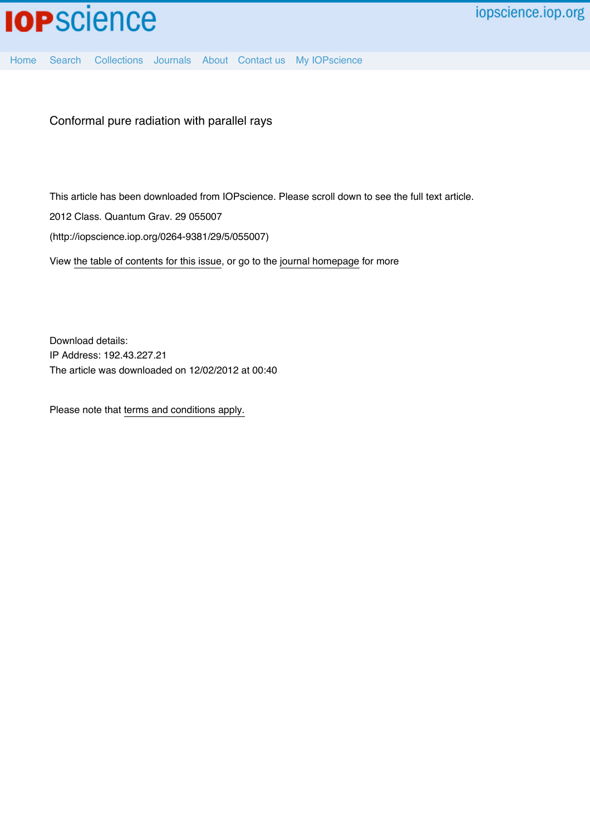

[Home](http://iopscience.iop.org/) [Search](http://iopscience.iop.org/search) [Collections](http://iopscience.iop.org/collections) [Journals](http://iopscience.iop.org/journals) [About](http://iopscience.iop.org/page/aboutioppublishing) [Contact us](http://iopscience.iop.org/contact) [My IOPscience](http://iopscience.iop.org/myiopscience)

Conformal pure radiation with parallel rays

This article has been downloaded from IOPscience. Please scroll down to see the full text article.

2012 Class. Quantum Grav. 29 055007

(http://iopscience.iop.org/0264-9381/29/5/055007)

View [the table of contents for this issue](http://iopscience.iop.org/0264-9381/29/5), or go to the [journal homepage](http://iopscience.iop.org/0264-9381) for more

Download details: IP Address: 192.43.227.21 The article was downloaded on 12/02/2012 at 00:40

Please note that [terms and conditions apply.](http://iopscience.iop.org/page/terms)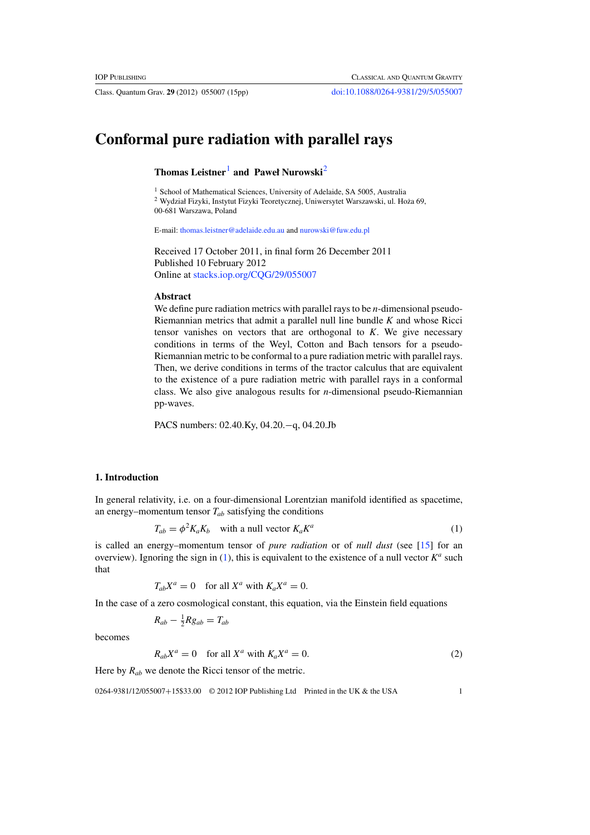Class. Quantum Grav. **29** (2012) 055007 (15pp) [doi:10.1088/0264-9381/29/5/055007](http://dx.doi.org/10.1088/0264-9381/29/5/055007)

# <span id="page-1-2"></span><span id="page-1-1"></span>**Conformal pure radiation with parallel rays**

**Thomas Leistner**[1](#page-1-1) **and Paweł Nurowski**[2](#page-1-2)

<sup>1</sup> School of Mathematical Sciences, University of Adelaide, SA 5005, Australia

 $^2$ Wydział Fizyki, Instytut Fizyki Teoretycznej, Uniwersytet Warszawski, ul. Hoża 69, 00-681 Warszawa, Poland

E-mail: [thomas.leistner@adelaide.edu.au](mailto:thomas.leistner@adelaide.edu.au) and [nurowski@fuw.edu.pl](mailto:nurowski@fuw.edu.pl)

Received 17 October 2011, in final form 26 December 2011 Published 10 February 2012 Online at [stacks.iop.org/CQG/29/055007](http://stacks.iop.org/CQG/29/055007)

# **Abstract**

We define pure radiation metrics with parallel rays to be *n*-dimensional pseudo-Riemannian metrics that admit a parallel null line bundle *K* and whose Ricci tensor vanishes on vectors that are orthogonal to *K*. We give necessary conditions in terms of the Weyl, Cotton and Bach tensors for a pseudo-Riemannian metric to be conformal to a pure radiation metric with parallel rays. Then, we derive conditions in terms of the tractor calculus that are equivalent to the existence of a pure radiation metric with parallel rays in a conformal class. We also give analogous results for *n*-dimensional pseudo-Riemannian pp-waves.

PACS numbers: 02.40.Ky, 04.20.−q, 04.20.Jb

# <span id="page-1-0"></span>**1. Introduction**

In general relativity, i.e. on a four-dimensional Lorentzian manifold identified as spacetime, an energy–momentum tensor  $T_{ab}$  satisfying the conditions

$$
T_{ab} = \phi^2 K_a K_b \quad \text{with a null vector } K_a K^a \tag{1}
$$

is called an energy–momentum tensor of *pure radiation* or of *null dust* (see [\[15\]](#page-15-0) for an overview). Ignoring the sign in  $(1)$ , this is equivalent to the existence of a null vector  $K^a$  such that

$$
T_{ab}X^a = 0 \quad \text{for all } X^a \text{ with } K_a X^a = 0.
$$

In the case of a zero cosmological constant, this equation, via the Einstein field equations

$$
R_{ab} - \frac{1}{2} R g_{ab} = T_{ab}
$$

becomes

$$
R_{ab}X^a = 0 \quad \text{for all } X^a \text{ with } K_a X^a = 0. \tag{2}
$$

Here by  $R_{ab}$  we denote the Ricci tensor of the metric.

0264-9381/12/055007+15\$33.00 © 2012 IOP Publishing Ltd Printed in the UK & the USA 1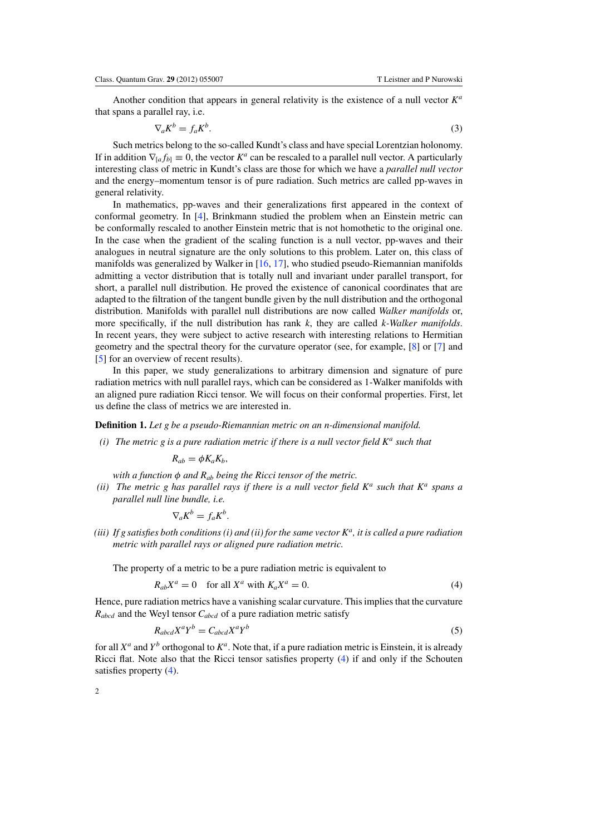Another condition that appears in general relativity is the existence of a null vector *K<sup>a</sup>* that spans a parallel ray, i.e.

$$
\nabla_a K^b = f_a K^b. \tag{3}
$$

Such metrics belong to the so-called Kundt's class and have special Lorentzian holonomy. If in addition  $\nabla_{[a} f_{b]} \equiv 0$ , the vector  $K^a$  can be rescaled to a parallel null vector. A particularly interesting class of metric in Kundt's class are those for which we have a *parallel null vector* and the energy–momentum tensor is of pure radiation. Such metrics are called pp-waves in general relativity.

In mathematics, pp-waves and their generalizations first appeared in the context of conformal geometry. In [\[4](#page-15-1)], Brinkmann studied the problem when an Einstein metric can be conformally rescaled to another Einstein metric that is not homothetic to the original one. In the case when the gradient of the scaling function is a null vector, pp-waves and their analogues in neutral signature are the only solutions to this problem. Later on, this class of manifolds was generalized by Walker in [\[16,](#page-15-2) [17\]](#page-15-3), who studied pseudo-Riemannian manifolds admitting a vector distribution that is totally null and invariant under parallel transport, for short, a parallel null distribution. He proved the existence of canonical coordinates that are adapted to the filtration of the tangent bundle given by the null distribution and the orthogonal distribution. Manifolds with parallel null distributions are now called *Walker manifolds* or, more specifically, if the null distribution has rank *k*, they are called *k-Walker manifolds*. In recent years, they were subject to active research with interesting relations to Hermitian geometry and the spectral theory for the curvature operator (see, for example, [\[8](#page-15-4)] or [\[7\]](#page-15-5) and [\[5](#page-15-6)] for an overview of recent results).

In this paper, we study generalizations to arbitrary dimension and signature of pure radiation metrics with null parallel rays, which can be considered as 1-Walker manifolds with an aligned pure radiation Ricci tensor. We will focus on their conformal properties. First, let us define the class of metrics we are interested in.

#### **Definition 1.** *Let g be a pseudo-Riemannian metric on an n-dimensional manifold.*

*(i) The metric g is a pure radiation metric if there is a null vector field K<sup>a</sup> such that*

$$
R_{ab}=\phi K_a K_b,
$$

*with a function* φ *and Rab being the Ricci tensor of the metric.*

<span id="page-2-0"></span>*(ii) The metric g has parallel rays if there is a null vector field K<sup>a</sup> such that K<sup>a</sup> spans a parallel null line bundle, i.e.*

$$
\nabla_a K^b = f_a K^b.
$$

<span id="page-2-1"></span>*(iii) If g satisfies both conditions (i) and (ii) for the same vector Ka, it is called a pure radiation metric with parallel rays or aligned pure radiation metric.*

The property of a metric to be a pure radiation metric is equivalent to

$$
R_{ab}X^a = 0 \quad \text{for all } X^a \text{ with } K_a X^a = 0. \tag{4}
$$

Hence, pure radiation metrics have a vanishing scalar curvature. This implies that the curvature *Rabcd* and the Weyl tensor *Cabcd* of a pure radiation metric satisfy

$$
R_{abcd}X^aY^b = C_{abcd}X^aY^b \tag{5}
$$

for all  $X^a$  and  $Y^b$  orthogonal to  $K^a$ . Note that, if a pure radiation metric is Einstein, it is already Ricci flat. Note also that the Ricci tensor satisfies property [\(4\)](#page-2-0) if and only if the Schouten satisfies property [\(4\)](#page-2-0).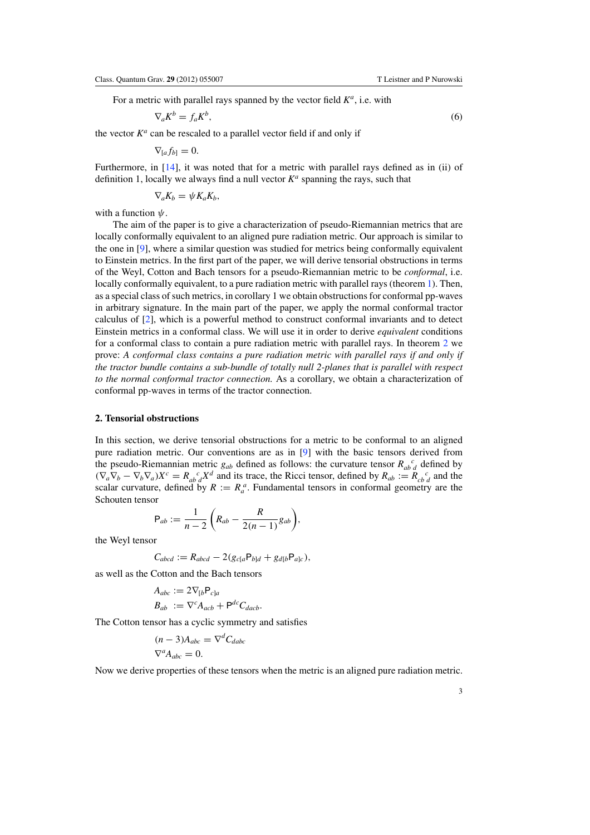<span id="page-3-0"></span>For a metric with parallel rays spanned by the vector field *Ka*, i.e. with

$$
\nabla_a K^b = f_a K^b,\tag{6}
$$

the vector  $K^a$  can be rescaled to a parallel vector field if and only if

$$
\nabla_{[a}f_{b]}=0.
$$

Furthermore, in [\[14\]](#page-15-8), it was noted that for a metric with parallel rays defined as in (ii) of definition 1, locally we always find a null vector  $K^a$  spanning the rays, such that

$$
\nabla_a K_b = \psi K_a K_b,
$$

with a function  $\psi$ .

The aim of the paper is to give a characterization of pseudo-Riemannian metrics that are locally conformally equivalent to an aligned pure radiation metric. Our approach is similar to the one in [\[9](#page-15-7)], where a similar question was studied for metrics being conformally equivalent to Einstein metrics. In the first part of the paper, we will derive tensorial obstructions in terms of the Weyl, Cotton and Bach tensors for a pseudo-Riemannian metric to be *conformal*, i.e. locally conformally equivalent, to a pure radiation metric with parallel rays (theorem [1\)](#page-4-0). Then, as a special class of such metrics, in corollary 1 we obtain obstructions for conformal pp-waves in arbitrary signature. In the main part of the paper, we apply the normal conformal tractor calculus of [\[2\]](#page-15-9), which is a powerful method to construct conformal invariants and to detect Einstein metrics in a conformal class. We will use it in order to derive *equivalent* conditions for a conformal class to contain a pure radiation metric with parallel rays. In theorem [2](#page-11-0) we prove: *A conformal class contains a pure radiation metric with parallel rays if and only if the tractor bundle contains a sub-bundle of totally null 2-planes that is parallel with respect to the normal conformal tractor connection.* As a corollary, we obtain a characterization of conformal pp-waves in terms of the tractor connection.

# **2. Tensorial obstructions**

In this section, we derive tensorial obstructions for a metric to be conformal to an aligned pure radiation metric. Our conventions are as in [\[9](#page-15-7)] with the basic tensors derived from the pseudo-Riemannian metric  $g_{ab}$  defined as follows: the curvature tensor  $R_{ab}^{\ c}$  defined by  $(\nabla_a \nabla_b - \nabla_b \nabla_a) X^c = R_{ab}^c X^d$  and its trace, the Ricci tensor, defined by  $R_{ab} := R_{cb}^c G$  and the scalar curvature, defined by  $R := R_a^a$ . Fundamental tensors in conformal geometry are the Schouten tensor

$$
\mathsf{P}_{ab}:=\frac{1}{n-2}\bigg(R_{ab}-\frac{R}{2(n-1)}g_{ab}\bigg),\,
$$

the Weyl tensor

$$
C_{abcd} := R_{abcd} - 2(g_{c[a}P_{b]d} + g_{d[b}P_{a]c}),
$$

as well as the Cotton and the Bach tensors

$$
A_{abc} := 2\nabla_{[b} \mathsf{P}_{c]a}
$$
  

$$
B_{ab} := \nabla^c A_{acb} + \mathsf{P}^{dc} C_{dacb}.
$$

The Cotton tensor has a cyclic symmetry and satisfies

$$
(n-3)A_{abc} = \nabla^d C_{dabc}
$$
  

$$
\nabla^a A_{abc} = 0.
$$

Now we derive properties of these tensors when the metric is an aligned pure radiation metric.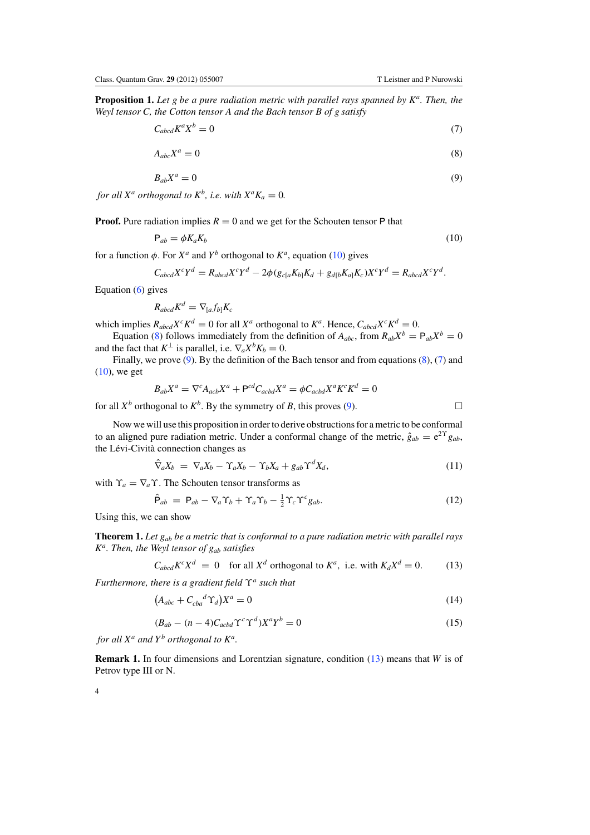<span id="page-4-10"></span><span id="page-4-5"></span><span id="page-4-4"></span><span id="page-4-3"></span>**Proposition 1.** *Let g be a pure radiation metric with parallel rays spanned by Ka. Then, the Weyl tensor C, the Cotton tensor A and the Bach tensor B of g satisfy*

$$
C_{abcd}K^aX^b = 0\tag{7}
$$

$$
A_{abc}X^a = 0 \tag{8}
$$

$$
B_{ab}X^a = 0 \tag{9}
$$

<span id="page-4-2"></span>*for all*  $X^a$  *orthogonal to*  $K^b$ *, i.e. with*  $X^a K_a = 0$ *.* 

**Proof.** Pure radiation implies  $R = 0$  and we get for the Schouten tensor P that

$$
P_{ab} = \phi K_a K_b \tag{10}
$$

for a function  $\phi$ . For  $X^a$  and  $Y^b$  orthogonal to  $K^a$ , equation [\(10\)](#page-4-2) gives

$$
C_{abcd}X^cY^d = R_{abcd}X^cY^d - 2\phi(g_{c[a}K_{b]}K_d + g_{d[b}K_a]K_c)X^cY^d = R_{abcd}X^cY^d.
$$

Equation  $(6)$  gives

$$
R_{abcd}K^d=\nabla_{[a}f_{b]}K_c
$$

which implies  $R_{abcd}X^cK^d = 0$  for all  $X^a$  orthogonal to  $K^a$ . Hence,  $C_{abcd}X^cK^d = 0$ .

Equation [\(8\)](#page-4-3) follows immediately from the definition of  $A_{abc}$ , from  $R_{ab}X^b = P_{ab}X^b = 0$ and the fact that  $K^{\perp}$  is parallel, i.e.  $\nabla_a X^b K_b = 0$ .

<span id="page-4-6"></span>Finally, we prove  $(9)$ . By the definition of the Bach tensor and from equations  $(8)$ ,  $(7)$  and  $(10)$ , we get

$$
B_{ab}X^a = \nabla^c A_{acb}X^a + \mathbf{P}^{cd}C_{acbd}X^a = \phi C_{acbd}X^a K^c K^d = 0
$$

for all  $X^b$  orthogonal to  $K^b$ . By the symmetry of *B*, this proves [\(9\)](#page-4-4).

<span id="page-4-9"></span>Now we will use this proposition in order to derive obstructions for a metric to be conformal to an aligned pure radiation metric. Under a conformal change of the metric,  $\hat{g}_{ab} = e^{2\Upsilon} g_{ab}$ , the Lévi-Cività connection changes as

$$
\hat{\nabla}_a X_b = \nabla_a X_b - \Upsilon_a X_b - \Upsilon_b X_a + g_{ab} \Upsilon^d X_d, \qquad (11)
$$

<span id="page-4-1"></span><span id="page-4-0"></span>with  $\Upsilon_a = \nabla_a \Upsilon$ . The Schouten tensor transforms as

$$
\hat{\mathsf{P}}_{ab} = \mathsf{P}_{ab} - \nabla_a \Upsilon_b + \Upsilon_a \Upsilon_b - \frac{1}{2} \Upsilon_c \Upsilon^c g_{ab}.
$$
\n(12)

Using this, we can show

<span id="page-4-8"></span><span id="page-4-7"></span>**Theorem 1.** *Let gab be a metric that is conformal to a pure radiation metric with parallel rays Ka. Then, the Weyl tensor of gab satisfies*

$$
C_{abcd}K^{c}X^{d} = 0 \quad \text{for all } X^{d} \text{ orthogonal to } K^{a}, \text{ i.e. with } K_{d}X^{d} = 0. \tag{13}
$$

*Furthermore, there is a gradient field* ϒ*<sup>a</sup> such that*

$$
(A_{abc} + C_{cba}{}^d \Upsilon_d)X^a = 0 \tag{14}
$$

$$
(B_{ab} - (n-4)C_{acbd} \Upsilon^c \Upsilon^d) X^a Y^b = 0
$$
\n(15)

*for all*  $X^a$  *and*  $Y^b$  *orthogonal to*  $K^a$ *.* 

**Remark 1.** In four dimensions and Lorentzian signature, condition [\(13\)](#page-4-1) means that *W* is of Petrov type III or N.

4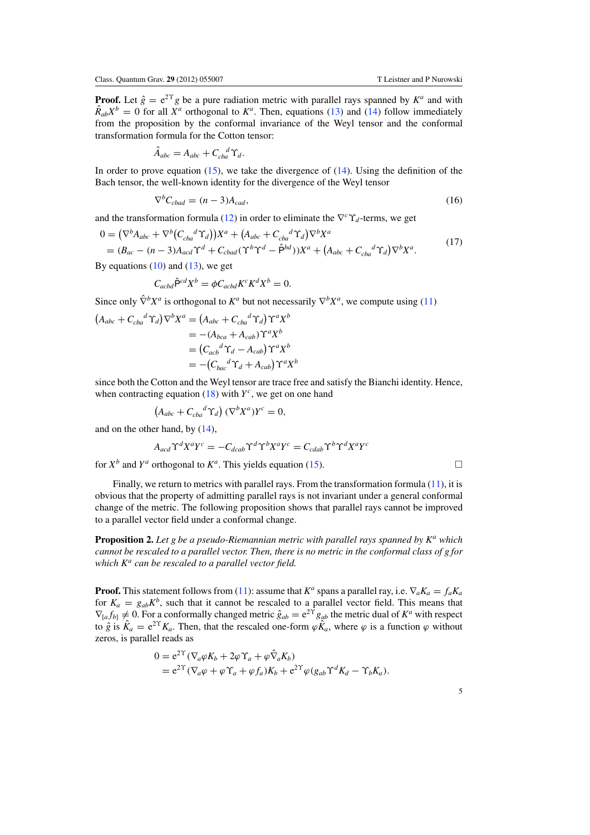<span id="page-5-0"></span>**Proof.** Let  $\hat{g} = e^{2\Upsilon}g$  be a pure radiation metric with parallel rays spanned by  $K^a$  and with  $\hat{R}_{ab}X^b = 0$  for all  $X^a$  orthogonal to  $K^a$ . Then, equations [\(13\)](#page-4-1) and [\(14\)](#page-4-7) follow immediately from the proposition by the conformal invariance of the Weyl tensor and the conformal transformation formula for the Cotton tensor:

$$
\hat{A}_{abc} = A_{abc} + C_{cba}^{d} \Upsilon_{d}.
$$

In order to prove equation  $(15)$ , we take the divergence of  $(14)$ . Using the definition of the Bach tensor, the well-known identity for the divergence of the Weyl tensor

$$
\nabla^b C_{\text{cbad}} = (n-3)A_{\text{cad}},\tag{16}
$$

and the transformation formula [\(12\)](#page-4-9) in order to eliminate the  $\nabla^c \Upsilon_d$ -terms, we get

$$
0 = (\nabla^b A_{abc} + \nabla^b (C_{cba}{}^d \Upsilon_d))X^a + (A_{abc} + C_{cba}{}^d \Upsilon_d) \nabla^b X^a
$$
  
=  $(B_{ac} - (n-3)A_{acd} \Upsilon^d + C_{cbad} (\Upsilon^b \Upsilon^d - \hat{P}^{bd}))X^a + (A_{abc} + C_{cba}{}^d \Upsilon_d) \nabla^b X^a.$  (17)

By equations  $(10)$  and  $(13)$ , we get

$$
C_{acbd}\hat{\mathsf{P}}^{cd}X^b = \phi C_{acbd}K^cK^dX^b = 0.
$$

Since only  $\hat{\nabla}^b X^a$  is orthogonal to  $K^a$  but not necessarily  $\nabla^b X^a$ , we compute using [\(11\)](#page-4-6)

$$
(A_{abc} + C_{cba}{}^d \Upsilon_d) \nabla^b X^a = (A_{abc} + C_{cba}{}^d \Upsilon_d) \Upsilon^a X^b
$$
  
= -(A\_{bca} + A\_{cab}) \Upsilon^a X^b  
= (C\_{acb}{}^d \Upsilon\_d - A\_{cab}) \Upsilon^a X^b  
= -(C\_{bac}{}^d \Upsilon\_d + A\_{cab}) \Upsilon^a X^b

since both the Cotton and the Weyl tensor are trace free and satisfy the Bianchi identity. Hence, when contracting equation  $(18)$  with  $Y^c$ , we get on one hand

$$
(A_{abc} + C_{cba}{}^d \Upsilon_d) (\nabla^b X^a) Y^c = 0,
$$

and on the other hand, by [\(14\)](#page-4-7),

$$
A_{acd}\Upsilon^d X^a Y^c = -C_{dcab}\Upsilon^d \Upsilon^b X^a Y^c = C_{cdab}\Upsilon^b \Upsilon^d X^a Y^c
$$

for  $X^b$  and  $Y^a$  orthogonal to  $K^a$ . This yields equation [\(15\)](#page-4-8).

Finally, we return to metrics with parallel rays. From the transformation formula [\(11\)](#page-4-6), it is obvious that the property of admitting parallel rays is not invariant under a general conformal change of the metric. The following proposition shows that parallel rays cannot be improved to a parallel vector field under a conformal change.

**Proposition 2.** *Let g be a pseudo-Riemannian metric with parallel rays spanned by K<sup>a</sup> which cannot be rescaled to a parallel vector. Then, there is no metric in the conformal class of g for which K<sup>a</sup> can be rescaled to a parallel vector field.*

**Proof.** This statement follows from [\(11\)](#page-4-6): assume that  $K^a$  spans a parallel ray, i.e.  $\nabla_a K_a = f_a K_a$ for  $K_a = g_{ab}K^b$ , such that it cannot be rescaled to a parallel vector field. This means that  $\nabla_{[a} f_{b]} \neq 0$ . For a conformally changed metric  $\hat{g}_{ab} = e^{2\hat{\Upsilon}} g_{ab}$  the metric dual of  $K^a$  with respect to  $\hat{g}$  is  $\hat{K}_a = e^{2\Upsilon} K_a$ . Then, that the rescaled one-form  $\varphi \hat{K}_a$ , where  $\varphi$  is a function  $\varphi$  without zeros, is parallel reads as

$$
0 = e^{2\Upsilon} (\nabla_a \varphi K_b + 2\varphi \Upsilon_a + \varphi \hat{\nabla}_a K_b)
$$
  
=  $e^{2\Upsilon} (\nabla_a \varphi + \varphi \Upsilon_a + \varphi f_a) K_b + e^{2\Upsilon} \varphi (g_{ab} \Upsilon^d K_d - \Upsilon_b K_a).$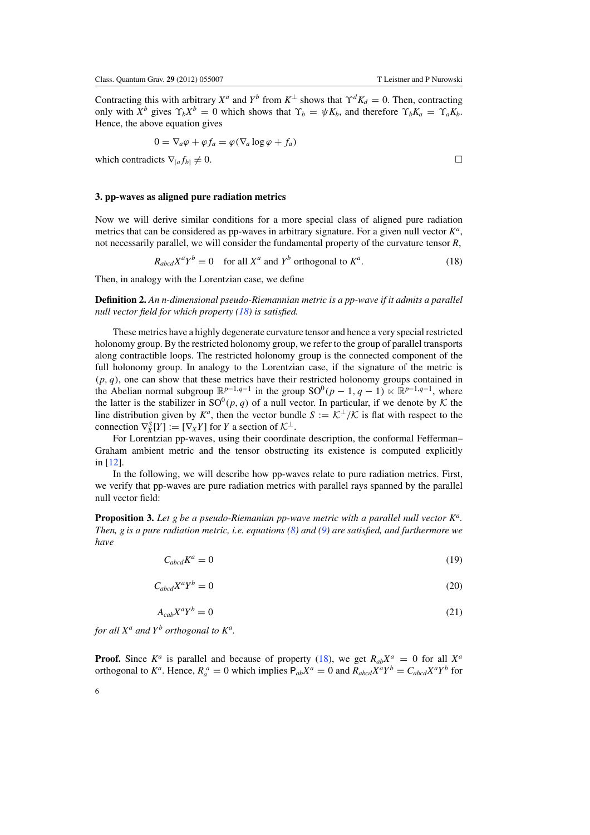Contracting this with arbitrary  $X^a$  and  $Y^b$  from  $K^{\perp}$  shows that  $\Upsilon^d K_d = 0$ . Then, contracting only with  $X^b$  gives  $\Upsilon_b X^b = 0$  which shows that  $\Upsilon_b = \psi K_b$ , and therefore  $\Upsilon_b K_a = \Upsilon_a K_b$ . Hence, the above equation gives

$$
0 = \nabla_a \varphi + \varphi f_a = \varphi(\nabla_a \log \varphi + f_a)
$$

<span id="page-6-0"></span>which contradicts  $\nabla_{[a} f_{b]} \neq 0$ .

#### **3. pp-waves as aligned pure radiation metrics**

Now we will derive similar conditions for a more special class of aligned pure radiation metrics that can be considered as pp-waves in arbitrary signature. For a given null vector *Ka*, not necessarily parallel, we will consider the fundamental property of the curvature tensor *R*,

$$
R_{abcd}X^aY^b = 0 \quad \text{for all } X^a \text{ and } Y^b \text{ orthogonal to } K^a. \tag{18}
$$

Then, in analogy with the Lorentzian case, we define

**Definition 2.** *An n-dimensional pseudo-Riemannian metric is a pp-wave if it admits a parallel null vector field for which property [\(18\)](#page-6-0) is satisfied.*

These metrics have a highly degenerate curvature tensor and hence a very special restricted holonomy group. By the restricted holonomy group, we refer to the group of parallel transports along contractible loops. The restricted holonomy group is the connected component of the full holonomy group. In analogy to the Lorentzian case, if the signature of the metric is  $(p, q)$ , one can show that these metrics have their restricted holonomy groups contained in the Abelian normal subgroup  $\mathbb{R}^{p-1,q-1}$  in the group  $SO^0(p-1,q-1) \ltimes \mathbb{R}^{p-1,q-1}$ , where the latter is the stabilizer in  $SO^0(p, q)$  of a null vector. In particular, if we denote by K the line distribution given by  $K^a$ , then the vector bundle  $S := \mathcal{K}^{\perp}/\mathcal{K}$  is flat with respect to the connection  $\nabla_X^S[Y] := [\nabla_X Y]$  for *Y* a section of  $\mathcal{K}^{\perp}$ .

For Lorentzian pp-waves, using their coordinate description, the conformal Fefferman– Graham ambient metric and the tensor obstructing its existence is computed explicitly in [\[12](#page-15-10)].

<span id="page-6-4"></span><span id="page-6-3"></span>In the following, we will describe how pp-waves relate to pure radiation metrics. First, we verify that pp-waves are pure radiation metrics with parallel rays spanned by the parallel null vector field:

<span id="page-6-2"></span><span id="page-6-1"></span>**Proposition 3.** *Let g be a pseudo-Riemanian pp-wave metric with a parallel null vector Ka. Then, g is a pure radiation metric, i.e. equations [\(8\)](#page-4-3) and [\(9\)](#page-4-4) are satisfied, and furthermore we have*

$$
C_{abcd}K^a = 0 \tag{19}
$$

$$
C_{abcd}X^aY^b = 0\tag{20}
$$

$$
A_{cab}X^aY^b = 0 \tag{21}
$$

*for all*  $X^a$  *and*  $Y^b$  *orthogonal to*  $K^a$ *.* 

**Proof.** Since  $K^a$  is parallel and because of property [\(18\)](#page-6-0), we get  $R_{ab}X^a = 0$  for all  $X^a$ orthogonal to  $K^a$ . Hence,  $R_a^a = 0$  which implies  $P_{ab}X^a = 0$  and  $R_{abcd}X^aY^b = C_{abcd}X^aY^b$  for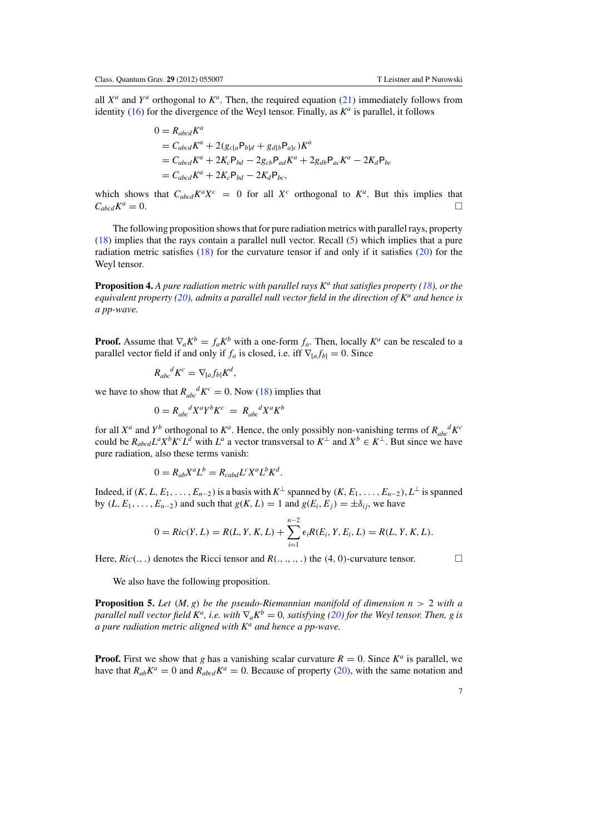all  $X^a$  and  $Y^a$  orthogonal to  $K^a$ . Then, the required equation [\(21\)](#page-6-2) immediately follows from identity [\(16\)](#page-5-0) for the divergence of the Weyl tensor. Finally, as  $K^a$  is parallel, it follows

$$
0 = R_{abcd}K^a
$$
  
=  $C_{abcd}K^a + 2(g_{c[a}P_{b]d} + g_{d[b}P_{a]c})K^a$   
=  $C_{abcd}K^a + 2K_cP_{bd} - 2g_{cb}P_{ad}K^a + 2g_{db}P_{ac}K^a - 2K_dP_{bc}$   
=  $C_{abcd}K^a + 2K_cP_{bd} - 2K_dP_{bc}$ ,

which shows that  $C_{abcd}K^aX^c = 0$  for all  $X^c$  orthogonal to  $K^a$ . But this implies that  $C_{abcd}K^a = 0$ .  $C_{abcd}K^a=0.$ 

<span id="page-7-0"></span>The following proposition shows that for pure radiation metrics with parallel rays, property [\(18\)](#page-6-0) implies that the rays contain a parallel null vector. Recall [\(5\)](#page-2-1) which implies that a pure radiation metric satisfies [\(18\)](#page-6-0) for the curvature tensor if and only if it satisfies [\(20\)](#page-6-1) for the Weyl tensor.

**Proposition 4.** *A pure radiation metric with parallel rays K<sup>a</sup> that satisfies property [\(18\)](#page-6-0), or the equivalent property [\(20\)](#page-6-1), admits a parallel null vector field in the direction of K<sup>a</sup> and hence is a pp-wave.*

**Proof.** Assume that  $\nabla_a K^b = f_a K^b$  with a one-form  $f_a$ . Then, locally  $K^a$  can be rescaled to a parallel vector field if and only if  $f_a$  is closed, i.e. iff  $\nabla_{[a} f_{b]} = 0$ . Since

$$
R_{abc}^{\quad \, d}K^c = \nabla_{[a}f_{b]}K^d,
$$

we have to show that  $R_{abc}^d K^c = 0$ . Now [\(18\)](#page-6-0) implies that

$$
0 = R_{abc}^{\ d} X^a Y^b K^c = R_{abc}^{\ d} X^a K^b
$$

for all  $X^a$  and  $Y^b$  orthogonal to  $K^a$ . Hence, the only possibly non-vanishing terms of  $R_{abc}^d K^c$ could be  $R_{abcd}L^aX^bK^cL^d$  with  $L^a$  a vector transversal to  $K^{\perp}$  and  $X^b \in K^{\perp}$ . But since we have pure radiation, also these terms vanish:

$$
0 = R_{ab}X^aL^b = R_{cabd}L^cX^aL^bK^d.
$$

Indeed, if  $(K, L, E_1, \ldots, E_{n-2})$  is a basis with  $K^{\perp}$  spanned by  $(K, E_1, \ldots, E_{n-2}), L^{\perp}$  is spanned by  $(L, E_1, \ldots, E_{n-2})$  and such that  $g(K, L) = 1$  and  $g(E_i, E_j) = \pm \delta_{ij}$ , we have

$$
0 = Ric(Y, L) = R(L, Y, K, L) + \sum_{i=1}^{n-2} \epsilon_i R(E_i, Y, E_i, L) = R(L, Y, K, L).
$$

Here,  $Ric(.,.)$  denotes the Ricci tensor and  $R(.,.,.,.)$  the  $(4, 0)$ -curvature tensor.

We also have the following proposition.

**Proposition 5.** Let  $(M, g)$  be the pseudo-Riemannian manifold of dimension  $n > 2$  with a *parallel null vector field*  $K^a$ , *i.e. with*  $\nabla_a K^b = 0$ , *satisfying* [\(20\)](#page-6-1) for the Weyl tensor. Then, g is *a pure radiation metric aligned with K<sup>a</sup> and hence a pp-wave.*

**Proof.** First we show that *g* has a vanishing scalar curvature  $R = 0$ . Since  $K^a$  is parallel, we have that  $R_{ab}K^a = 0$  and  $R_{abcd}K^a = 0$ . Because of property [\(20\)](#page-6-1), with the same notation and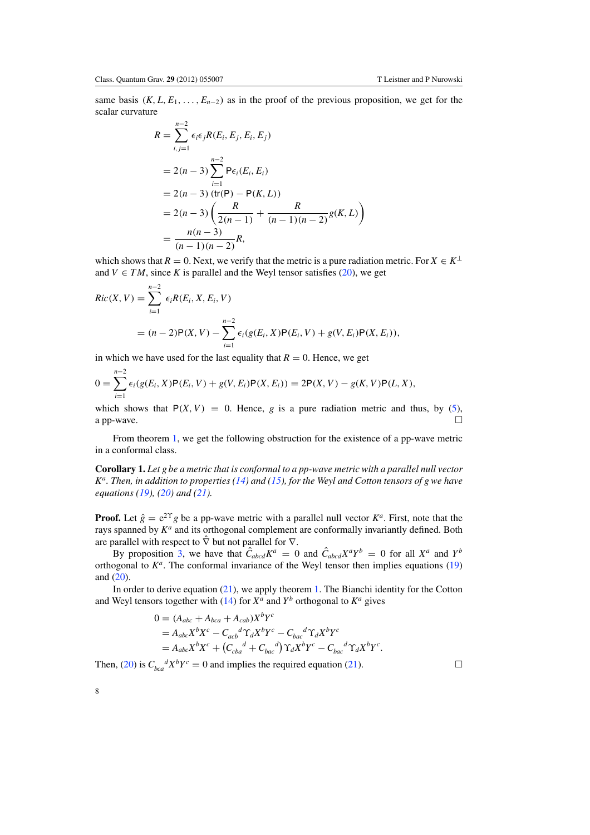same basis  $(K, L, E_1, \ldots, E_{n-2})$  as in the proof of the previous proposition, we get for the scalar curvature

$$
R = \sum_{i,j=1}^{n-2} \epsilon_i \epsilon_j R(E_i, E_j, E_i, E_j)
$$
  
= 2(n-3)  $\sum_{i=1}^{n-2} P\epsilon_i(E_i, E_i)$   
= 2(n-3) (tr(P) – P(K, L))  
= 2(n-3)  $\left(\frac{R}{2(n-1)} + \frac{R}{(n-1)(n-2)}g(K, L)\right)$   
=  $\frac{n(n-3)}{(n-1)(n-2)}R$ ,

which shows that  $R = 0$ . Next, we verify that the metric is a pure radiation metric. For  $X \in K^{\perp}$ and  $V \in TM$ , since K is parallel and the Weyl tensor satisfies [\(20\)](#page-6-1), we get

$$
Ric(X, V) = \sum_{i=1}^{n-2} \epsilon_i R(E_i, X, E_i, V)
$$
  
=  $(n-2)P(X, V) - \sum_{i=1}^{n-2} \epsilon_i (g(E_i, X)P(E_i, V) + g(V, E_i)P(X, E_i)),$ 

in which we have used for the last equality that  $R = 0$ . Hence, we get

$$
0 = \sum_{i=1}^{n-2} \epsilon_i(g(E_i, X) \mathsf{P}(E_i, V) + g(V, E_i) \mathsf{P}(X, E_i)) = 2\mathsf{P}(X, V) - g(K, V)\mathsf{P}(L, X),
$$

which shows that  $P(X, V) = 0$ . Hence, *g* is a pure radiation metric and thus, by [\(5\)](#page-2-1), a pp-wave. a pp-wave.  $\Box$ 

From theorem [1,](#page-4-0) we get the following obstruction for the existence of a pp-wave metric in a conformal class.

**Corollary 1.** *Let g be a metric that is conformal to a pp-wave metric with a parallel null vector Ka. Then, in addition to properties [\(14\)](#page-4-7) and [\(15\)](#page-4-8), for the Weyl and Cotton tensors of g we have equations [\(19\)](#page-6-3), [\(20\)](#page-6-1) and [\(21\)](#page-6-2).*

**Proof.** Let  $\hat{g} = e^{2\Upsilon}g$  be a pp-wave metric with a parallel null vector  $K^a$ . First, note that the rays spanned by  $K^a$  and its orthogonal complement are conformally invariantly defined. Both are parallel with respect to  $\hat{\nabla}$  but not parallel for  $\nabla$ .

By proposition [3,](#page-6-4) we have that  $\hat{C}_{abcd}K^a = 0$  and  $\hat{C}_{abcd}X^aY^b = 0$  for all  $X^a$  and  $Y^b$ orthogonal to  $K^a$ . The conformal invariance of the Weyl tensor then implies equations  $(19)$ and [\(20\)](#page-6-1).

In order to derive equation [\(21\)](#page-6-2), we apply theorem [1.](#page-4-0) The Bianchi identity for the Cotton and Weyl tensors together with [\(14\)](#page-4-7) for  $X^a$  and  $Y^b$  orthogonal to  $K^a$  gives

$$
0 = (A_{abc} + A_{bca} + A_{cab})X^bY^c
$$
  
=  $A_{abc}X^bX^c - C_{acb}^d\Upsilon_dX^bY^c - C_{bac}^d\Upsilon_dX^bY^c$   
=  $A_{abc}X^bX^c + (C_{cba}^d + C_{bac}^d)\Upsilon_dX^bY^c - C_{bac}^d\Upsilon_dX^bY^c$ .

Then, [\(20\)](#page-6-1) is  $C_{bca}^d X^b Y^c = 0$  and implies the required equation [\(21\)](#page-6-2).

8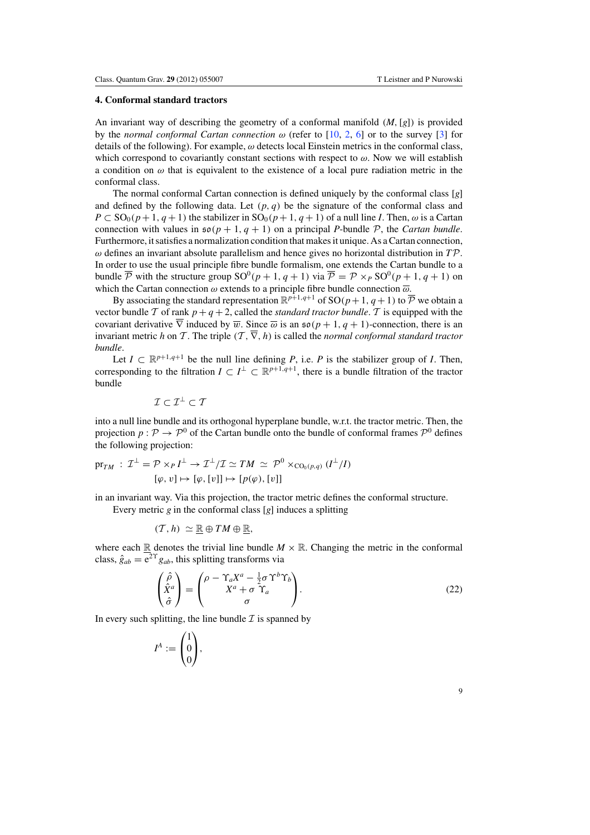# **4. Conformal standard tractors**

An invariant way of describing the geometry of a conformal manifold (*M*,[*g*]) is provided by the *normal conformal Cartan connection*  $\omega$  (refer to [\[10,](#page-15-12) [2,](#page-15-9) [6](#page-15-13)] or to the survey [\[3](#page-15-11)] for details of the following). For example,  $\omega$  detects local Einstein metrics in the conformal class, which correspond to covariantly constant sections with respect to  $\omega$ . Now we will establish a condition on  $\omega$  that is equivalent to the existence of a local pure radiation metric in the conformal class.

The normal conformal Cartan connection is defined uniquely by the conformal class [*g*] and defined by the following data. Let  $(p, q)$  be the signature of the conformal class and  $P \subset SO_0(p+1, q+1)$  the stabilizer in  $SO_0(p+1, q+1)$  of a null line *I*. Then,  $\omega$  is a Cartan connection with values in  $\mathfrak{so}(p+1, q+1)$  on a principal *P*-bundle  $\mathcal{P}$ , the *Cartan bundle*. Furthermore, it satisfies a normalization condition that makes it unique. As a Cartan connection, ω defines an invariant absolute parallelism and hence gives no horizontal distribution in *T*P. In order to use the usual principle fibre bundle formalism, one extends the Cartan bundle to a bundle  $\overline{\mathcal{P}}$  with the structure group  $SO^0(p+1, q+1)$  via  $\overline{\mathcal{P}} = \mathcal{P} \times_{P} SO^0(p+1, q+1)$  on which the Cartan connection  $\omega$  extends to a principle fibre bundle connection  $\overline{\omega}$ .

By associating the standard representation  $\mathbb{R}^{p+1,q+1}$  of SO( $p+1$ ,  $q+1$ ) to  $\overline{\mathcal{P}}$  we obtain a vector bundle T of rank  $p + q + 2$ , called the *standard tractor bundle*. T is equipped with the covariant derivative  $\overline{\nabla}$  induced by  $\overline{w}$ . Since  $\overline{\omega}$  is an  $\mathfrak{so}(p+1, q+1)$ -connection, there is an invariant metric *h* on T. The triple  $(T, \overline{\nabla}, h)$  is called the *normal conformal standard tractor bundle*.

Let  $I \subset \mathbb{R}^{p+1,q+1}$  be the null line defining *P*, i.e. *P* is the stabilizer group of *I*. Then, corresponding to the filtration  $I \subset I^{\perp} \subset \mathbb{R}^{p+1,q+1}$ , there is a bundle filtration of the tractor bundle

$$
\mathcal{I} \subset \mathcal{I}^{\perp} \subset \mathcal{T}
$$

into a null line bundle and its orthogonal hyperplane bundle, w.r.t. the tractor metric. Then, the projection  $p : \mathcal{P} \to \mathcal{P}^0$  of the Cartan bundle onto the bundle of conformal frames  $\mathcal{P}^0$  defines the following projection:

$$
\text{pr}_{TM} : \mathcal{I}^{\perp} = \mathcal{P} \times_{P} I^{\perp} \to \mathcal{I}^{\perp}/\mathcal{I} \simeq TM \simeq \mathcal{P}^{0} \times_{\text{CO}_{0}(p,q)} (I^{\perp}/I)
$$

$$
[\varphi, v] \mapsto [\varphi, [v]] \mapsto [p(\varphi), [v]]
$$

<span id="page-9-0"></span>in an invariant way. Via this projection, the tractor metric defines the conformal structure.

Every metric *g* in the conformal class [*g*] induces a splitting

$$
(\mathcal{T},h) \simeq \mathbb{R} \oplus TM \oplus \mathbb{R},
$$

where each  $\mathbb R$  denotes the trivial line bundle  $M \times \mathbb R$ . Changing the metric in the conformal class,  $\hat{g}_{ab} = e^{2\Upsilon} g_{ab}$ , this splitting transforms via

$$
\begin{pmatrix}\n\hat{\rho} \\
\hat{X}^a \\
\hat{\sigma}\n\end{pmatrix} = \begin{pmatrix}\n\rho - \Upsilon_a X^a - \frac{1}{2}\sigma \Upsilon^b \Upsilon_b \\
X^a + \sigma \Upsilon_a \\
\sigma\n\end{pmatrix}.
$$
\n(22)

In every such splitting, the line bundle  $\mathcal I$  is spanned by

$$
I^A:=\begin{pmatrix}1\\0\\0\end{pmatrix},\quad
$$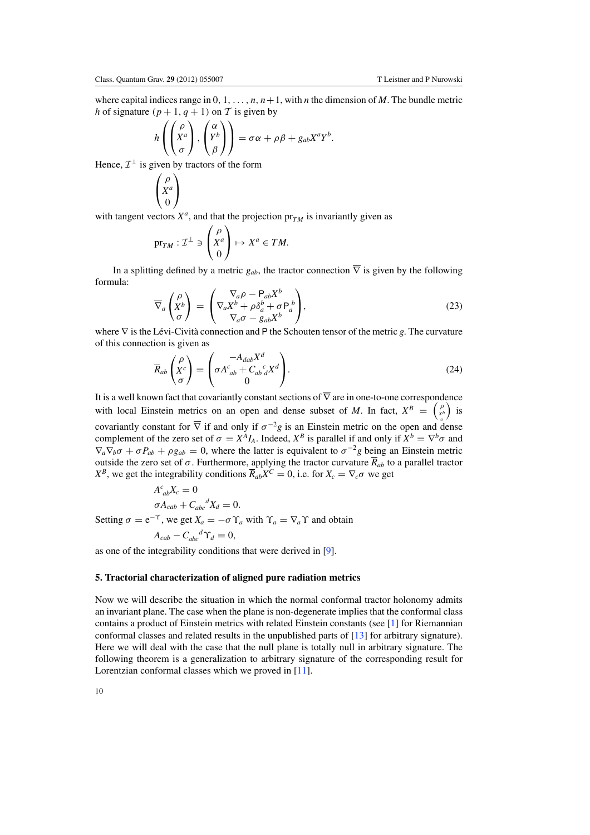where capital indices range in  $0, 1, \ldots, n, n+1$ , with *n* the dimension of *M*. The bundle metric *h* of signature  $(p + 1, q + 1)$  on T is given by

$$
h\left(\begin{pmatrix} \rho \\ X^a \\ \sigma \end{pmatrix}, \begin{pmatrix} \alpha \\ Y^b \\ \beta \end{pmatrix}\right) = \sigma \alpha + \rho \beta + g_{ab} X^a Y^b.
$$

Hence,  $\mathcal{I}^{\perp}$  is given by tractors of the form

$$
\begin{pmatrix} \rho \\ X^a \\ 0 \end{pmatrix}
$$

<span id="page-10-0"></span>with tangent vectors  $X^a$ , and that the projection  $pr_{TM}$  is invariantly given as

$$
\mathrm{pr}_{TM} : \mathcal{I}^{\perp} \ni \begin{pmatrix} \rho \\ X^a \\ 0 \end{pmatrix} \mapsto X^a \in TM.
$$

<span id="page-10-1"></span>In a splitting defined by a metric  $g_{ab}$ , the tractor connection  $\overline{\nabla}$  is given by the following formula:

$$
\overline{\nabla}_a \begin{pmatrix} \rho \\ X^b \\ \sigma \end{pmatrix} = \begin{pmatrix} \nabla_a \rho - \mathsf{P}_{ab} X^b \\ \nabla_a X^b + \rho \delta_a^b + \sigma \mathsf{P}_a^b \\ \nabla_a \sigma - g_{ab} X^b \end{pmatrix},\tag{23}
$$

where  $∇$  is the Lévi-Cività connection and  $P$  the Schouten tensor of the metric *g*. The curvature of this connection is given as

$$
\overline{R}_{ab} \begin{pmatrix} \rho \\ X^c \\ \sigma \end{pmatrix} = \begin{pmatrix} -A_{dab} X^d \\ \sigma A^c_{ab} + C_{ab}^c{}_d^c X^d \\ 0 \end{pmatrix} . \tag{24}
$$

It is a well known fact that covariantly constant sections of  $\overline{\nabla}$  are in one-to-one correspondence with local Einstein metrics on an open and dense subset of *M*. In fact,  $X^B = \begin{pmatrix} \rho \\ x^b \end{pmatrix}$  is covariantly constant for  $\overline{\nabla}$  if and only if  $\sigma^{-2}g$  is an Einstein metric on the open and dense complement of the zero set of  $\sigma = X^A I_A$ . Indeed,  $X^B$  is parallel if and only if  $X^b = \nabla^b \sigma$  and  $\nabla_a \nabla_b \sigma + \sigma P_{ab} + \rho g_{ab} = 0$ , where the latter is equivalent to  $\sigma^{-2}g$  being an Einstein metric outside the zero set of  $\sigma$ . Furthermore, applying the tractor curvature  $\overline{R}_{ab}$  to a parallel tractor *X<sup>B</sup>*, we get the integrability conditions  $\overline{R}_{ab}X^C = 0$ , i.e. for  $X_c = \nabla_c \sigma$  we get

$$
A_{ab}^{c}X_{c} = 0
$$
  
\n
$$
\sigma A_{cab} + C_{abc}^{d}X_{d} = 0.
$$
  
\nSetting  $\sigma = e^{-\Upsilon}$ , we get  $X_{a} = -\sigma \Upsilon_{a}$  with  $\Upsilon_{a} = \nabla_{a}\Upsilon$  and obtain  
\n
$$
A_{cab} - C_{abc}^{d}\Upsilon_{d} = 0,
$$

as one of the integrability conditions that were derived in [\[9\]](#page-15-7).

## **5. Tractorial characterization of aligned pure radiation metrics**

Now we will describe the situation in which the normal conformal tractor holonomy admits an invariant plane. The case when the plane is non-degenerate implies that the conformal class contains a product of Einstein metrics with related Einstein constants (see [\[1\]](#page-15-15) for Riemannian conformal classes and related results in the unpublished parts of [\[13](#page-15-16)] for arbitrary signature). Here we will deal with the case that the null plane is totally null in arbitrary signature. The following theorem is a generalization to arbitrary signature of the corresponding result for Lorentzian conformal classes which we proved in [\[11\]](#page-15-14).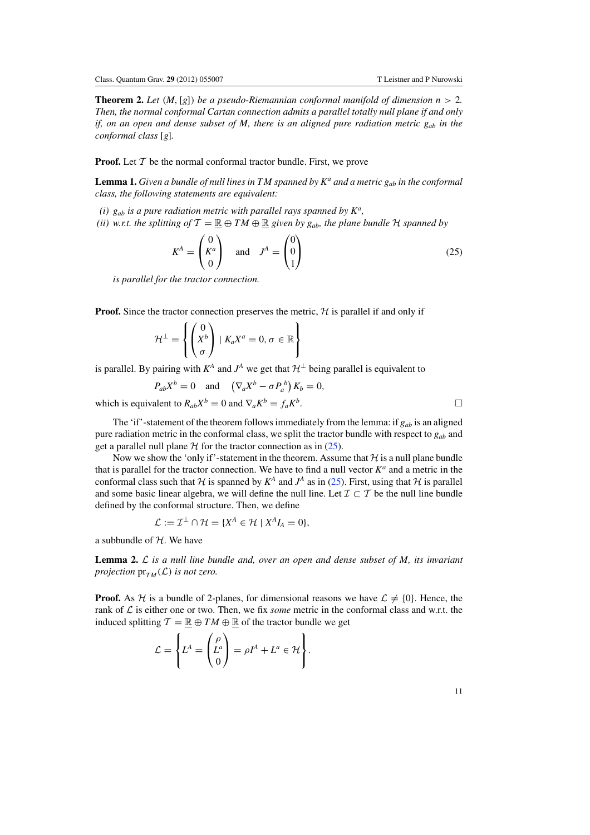<span id="page-11-0"></span>**Theorem 2.** Let  $(M, [g])$  be a pseudo-Riemannian conformal manifold of dimension  $n > 2$ . *Then, the normal conformal Cartan connection admits a parallel totally null plane if and only if, on an open and dense subset of M, there is an aligned pure radiation metric*  $g_{ab}$  *in the conformal class* [*g*]*.*

<span id="page-11-1"></span>**Proof.** Let  $T$  be the normal conformal tractor bundle. First, we prove

**Lemma 1.** *Given a bundle of null lines in TM spanned by*  $K^a$  *and a metric*  $g_{ab}$  *in the conformal class, the following statements are equivalent:*

*(i) gab is a pure radiation metric with parallel rays spanned by Ka,*

*(ii)* w.r.t. the splitting of  $\mathcal{T} = \mathbb{R} \oplus TM \oplus \mathbb{R}$  given by  $g_{ab}$ , the plane bundle  $H$  spanned by

$$
K^{A} = \begin{pmatrix} 0 \\ K^{a} \\ 0 \end{pmatrix} \quad \text{and} \quad J^{A} = \begin{pmatrix} 0 \\ 0 \\ 1 \end{pmatrix}
$$
 (25)

*is parallel for the tractor connection.*

**Proof.** Since the tractor connection preserves the metric,  $H$  is parallel if and only if

$$
\mathcal{H}^{\perp} = \left\{ \begin{pmatrix} 0 \\ X^b \\ \sigma \end{pmatrix} \mid K_a X^a = 0, \sigma \in \mathbb{R} \right\}
$$

is parallel. By pairing with  $K^A$  and  $J^A$  we get that  $\mathcal{H}^{\perp}$  being parallel is equivalent to

$$
P_{ab}X^b = 0
$$
 and  $(\nabla_a X^b - \sigma P_a^b) K_b = 0$ ,

which is equivalent to  $R_{ab}X^b = 0$  and  $\nabla_a K^b = f_a K^b$ .

The 'if'-statement of the theorem follows immediately from the lemma: if  $g_{ab}$  is an aligned pure radiation metric in the conformal class, we split the tractor bundle with respect to  $g_{ab}$  and get a parallel null plane  $H$  for the tractor connection as in  $(25)$ .

Now we show the 'only if'-statement in the theorem. Assume that  $H$  is a null plane bundle that is parallel for the tractor connection. We have to find a null vector  $K^a$  and a metric in the conformal class such that  $H$  is spanned by  $K^A$  and  $J^A$  as in [\(25\)](#page-11-1). First, using that  $H$  is parallel and some basic linear algebra, we will define the null line. Let  $\mathcal{I} \subset \mathcal{T}$  be the null line bundle defined by the conformal structure. Then, we define

$$
\mathcal{L} := \mathcal{I}^{\perp} \cap \mathcal{H} = \{X^{A} \in \mathcal{H} \mid X^{A}I_{A} = 0\},\
$$

a subbundle of  $H$ . We have

**Lemma 2.** L *is a null line bundle and, over an open and dense subset of M, its invariant projection*  $pr_{TM}(\mathcal{L})$  *is not zero.* 

**Proof.** As H is a bundle of 2-planes, for dimensional reasons we have  $\mathcal{L} \neq \{0\}$ . Hence, the rank of  $\mathcal L$  is either one or two. Then, we fix *some* metric in the conformal class and w.r.t. the induced splitting  $T = \mathbb{R} \oplus TM \oplus \mathbb{R}$  of the tractor bundle we get

$$
\mathcal{L} = \left\{ L^A = \begin{pmatrix} \rho \\ L^a \\ 0 \end{pmatrix} = \rho I^A + L^a \in \mathcal{H} \right\}.
$$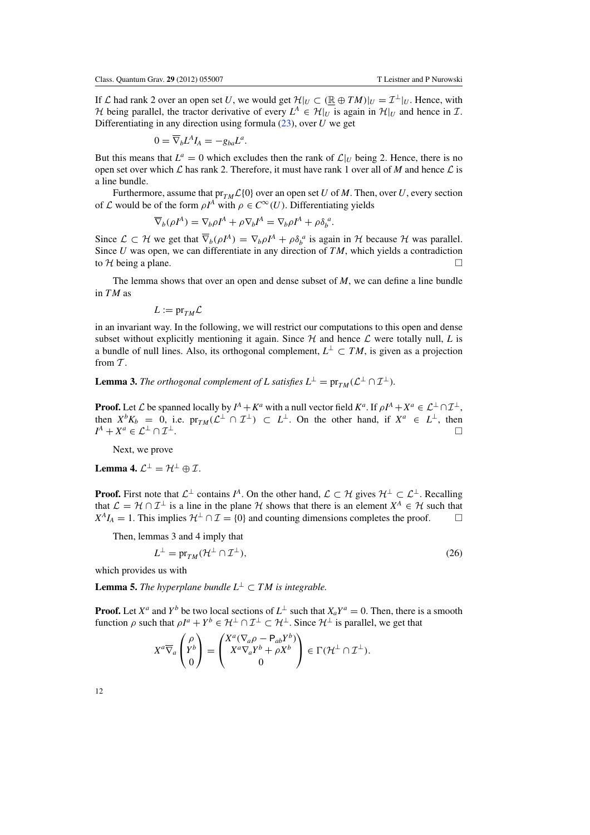If L had rank 2 over an open set U, we would get  $\mathcal{H}|_U \subset (\mathbb{R} \oplus TM)|_U = \mathcal{I}^{\perp}|_U$ . Hence, with *H* being parallel, the tractor derivative of every  $L^A \in H|_U$  is again in  $H|_U$  and hence in  $\mathcal{I}$ . Differentiating in any direction using formula [\(23\)](#page-10-0), over *U* we get

$$
0=\overline{\nabla}_{b}L^{A}I_{A}=-g_{ba}L^{a}.
$$

But this means that  $L^a = 0$  which excludes then the rank of  $\mathcal{L}|_U$  being 2. Hence, there is no open set over which  $\mathcal L$  has rank 2. Therefore, it must have rank 1 over all of *M* and hence  $\mathcal L$  is a line bundle.

Furthermore, assume that  $pr_{TM}\mathcal{L}{0}$  over an open set *U* of *M*. Then, over *U*, every section of L would be of the form  $\rho I^A$  with  $\rho \in C^{\infty}(U)$ . Differentiating yields

$$
\overline{\nabla}_b(\rho I^A) = \nabla_b \rho I^A + \rho \nabla_b I^A = \nabla_b \rho I^A + \rho \delta_b^a.
$$

Since  $\mathcal{L} \subset \mathcal{H}$  we get that  $\overline{\nabla}_b(\rho I^A) = \nabla_b \rho I^A + \rho \delta_b^a$  is again in  $\mathcal{H}$  because  $\mathcal{H}$  was parallel. Since *U* was open, we can differentiate in any direction of *TM*, which yields a contradiction to H being a plane.  $\Box$ 

The lemma shows that over an open and dense subset of *M*, we can define a line bundle in *TM* as

 $L := pr_{TM} \mathcal{L}$ 

in an invariant way. In the following, we will restrict our computations to this open and dense subset without explicitly mentioning it again. Since  $H$  and hence  $L$  were totally null,  $L$  is a bundle of null lines. Also, its orthogonal complement,  $L^{\perp} \subset TM$ , is given as a projection from  $T$ .

**Lemma 3.** *The orthogonal complement of L satisfies*  $L^{\perp} = \text{pr}_{TM}(\mathcal{L}^{\perp} \cap \mathcal{I}^{\perp})$ *.* 

**Proof.** Let L be spanned locally by  $I^A + K^a$  with a null vector field  $K^a$ . If  $\rho I^A + X^a \in L^{\perp} \cap L^{\perp}$ , then  $X^b K_b = 0$ , i.e.  $\text{pr}_{TM}(\mathcal{L}^{\perp} \cap \mathcal{I}^{\perp}) \subset L^{\perp}$ . On the other hand, if  $X^a \in L^{\perp}$ , then  $I^A + X^a \in \mathcal{L}^\perp \cap \mathcal{I}^\perp$ .

Next, we prove

<span id="page-12-0"></span>**Lemma 4.**  $\mathcal{L}^{\perp} = \mathcal{H}^{\perp} \oplus \mathcal{I}$ .

**Proof.** First note that  $\mathcal{L}^{\perp}$  contains  $I^A$ . On the other hand,  $\mathcal{L} \subset \mathcal{H}$  gives  $\mathcal{H}^{\perp} \subset \mathcal{L}^{\perp}$ . Recalling that  $\mathcal{L} = \mathcal{H} \cap \mathcal{I}^{\perp}$  is a line in the plane  $\mathcal{H}$  shows that there is an element  $X^A \in \mathcal{H}$  such that  $X^A I_A = 1$ . This implies  $\mathcal{H}^{\perp} \cap \mathcal{I} = \{0\}$  and counting dimensions completes the proof.  $X^A I_A = 1$ . This implies  $\mathcal{H}^{\perp} \cap \mathcal{I} = \{0\}$  and counting dimensions completes the proof.

Then, lemmas 3 and 4 imply that

$$
L^{\perp} = \text{pr}_{TM}(\mathcal{H}^{\perp} \cap \mathcal{I}^{\perp}),\tag{26}
$$

which provides us with

**Lemma 5.** *The hyperplane bundle*  $L^{\perp} \subset TM$  *is integrable.* 

**Proof.** Let  $X^a$  and  $Y^b$  be two local sections of  $L^{\perp}$  such that  $X_a Y^a = 0$ . Then, there is a smooth function  $\rho$  such that  $\rho I^a + Y^b \in H^{\perp} \cap T^{\perp} \subset H^{\perp}$ . Since  $H^{\perp}$  is parallel, we get that

$$
X^a \overline{\nabla}_a \begin{pmatrix} \rho \\ Y^b \\ 0 \end{pmatrix} = \begin{pmatrix} X^a (\nabla_a \rho - \mathsf{P}_{ab} Y^b) \\ X^a \nabla_a Y^b + \rho X^b \\ 0 \end{pmatrix} \in \Gamma(\mathcal{H}^\perp \cap \mathcal{I}^\perp).
$$

12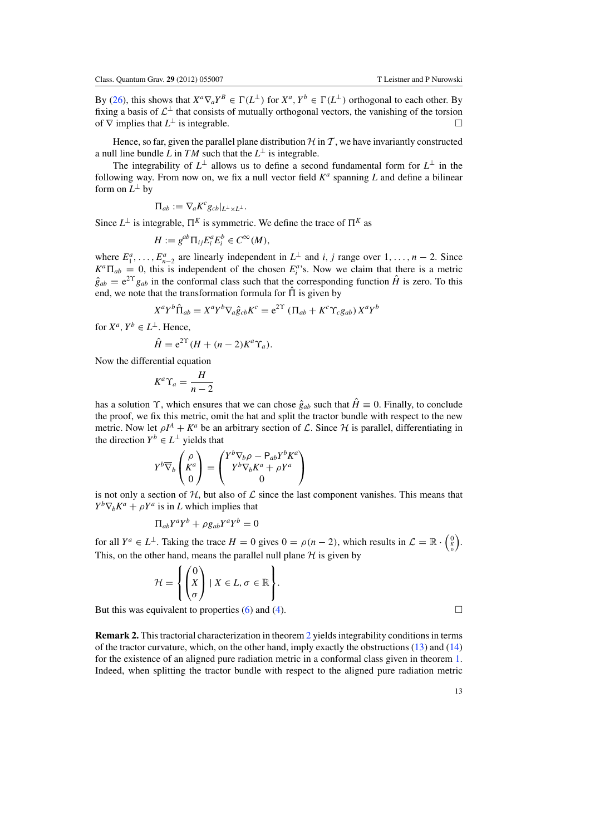By [\(26\)](#page-12-0), this shows that  $X^a \nabla_a Y^B \in \Gamma(L^{\perp})$  for  $X^a, Y^b \in \Gamma(L^{\perp})$  orthogonal to each other. By fixing a basis of  $\mathcal{L}^{\perp}$  that consists of mutually orthogonal vectors, the vanishing of the torsion of  $\nabla$  implies that  $I^{\perp}$  is integrable of  $\nabla$  implies that  $L^{\perp}$  is integrable.

Hence, so far, given the parallel plane distribution  $H$  in T, we have invariantly constructed a null line bundle *L* in *TM* such that the  $L^{\perp}$  is integrable.

The integrability of  $L^{\perp}$  allows us to define a second fundamental form for  $L^{\perp}$  in the following way. From now on, we fix a null vector field  $K^a$  spanning *L* and define a bilinear form on  $L^{\perp}$  by

$$
\Pi_{ab}:=\nabla_a K^c g_{cb}|_{L^\perp\times L^\perp}.
$$

Since  $L^{\perp}$  is integrable,  $\Pi^{K}$  is symmetric. We define the trace of  $\Pi^{K}$  as

$$
H := g^{ab} \Pi_{ij} E_i^a E_i^b \in C^\infty(M),
$$

where  $E_1^a, \ldots, E_{n-2}^a$  are linearly independent in  $L^{\perp}$  and *i*, *j* range over  $1, \ldots, n-2$ . Since  $K^a \Pi_{ab} = 0$ , this is independent of the chosen  $E_i^a$ 's. Now we claim that there is a metric  $\hat{g}_{ab} = e^{2\Upsilon} g_{ab}$  in the conformal class such that the corresponding function  $\hat{H}$  is zero. To this end, we note that the transformation formula for  $\hat{\Pi}$  is given by

$$
X^{a}Y^{b}\hat{\Pi}_{ab} = X^{a}Y^{b}\nabla_{a}\hat{g}_{cb}K^{c} = e^{2\Upsilon}(\Pi_{ab} + K^{c}\Upsilon_{c}g_{ab})X^{a}Y^{b}
$$

for  $X^a$ ,  $Y^b \in L^{\perp}$ . Hence,

$$
\hat{H} = e^{2\Upsilon} (H + (n-2)K^a \Upsilon_a).
$$

Now the differential equation

$$
K^a \Upsilon_a = \frac{H}{n-2}
$$

has a solution  $\Upsilon$ , which ensures that we can chose  $\hat{g}_{ab}$  such that  $\hat{H} \equiv 0$ . Finally, to conclude the proof, we fix this metric, omit the hat and split the tractor bundle with respect to the new metric. Now let  $\rho I^A + K^a$  be an arbitrary section of  $\mathcal L$ . Since  $\mathcal H$  is parallel, differentiating in the direction  $Y^b \in L^{\perp}$  yields that

$$
Y^b\overline{\nabla}_b\begin{pmatrix} \rho\\ K^a\\ 0 \end{pmatrix}=\begin{pmatrix} Y^b\nabla_b\rho-P_{ab}Y^bK^a\\ Y^b\nabla_bK^a+\rho Y^a\\ 0 \end{pmatrix}
$$

is not only a section of  $H$ , but also of  $L$  since the last component vanishes. This means that  $Y^b \nabla_b K^a + \rho Y^a$  is in *L* which implies that

$$
\Pi_{ab}Y^aY^b + \rho g_{ab}Y^aY^b = 0
$$

for all  $Y^a \in L^{\perp}$ . Taking the trace  $H = 0$  gives  $0 = \rho(n-2)$ , which results in  $\mathcal{L} = \mathbb{R} \cdot \begin{pmatrix} 0 \\ k \end{pmatrix}$ .  $\mathbf{0}$ This, on the other hand, means the parallel null plane  $H$  is given by

$$
\mathcal{H} = \left\{ \begin{pmatrix} 0 \\ X \\ \sigma \end{pmatrix} \mid X \in L, \sigma \in \mathbb{R} \right\}.
$$

But this was equivalent to properties [\(6\)](#page-3-0) and [\(4\)](#page-2-0).  $\Box$ 

**Remark 2.** This tractorial characterization in theorem [2](#page-11-0) yields integrability conditions in terms of the tractor curvature, which, on the other hand, imply exactly the obstructions  $(13)$  and  $(14)$ for the existence of an aligned pure radiation metric in a conformal class given in theorem [1.](#page-4-0) Indeed, when splitting the tractor bundle with respect to the aligned pure radiation metric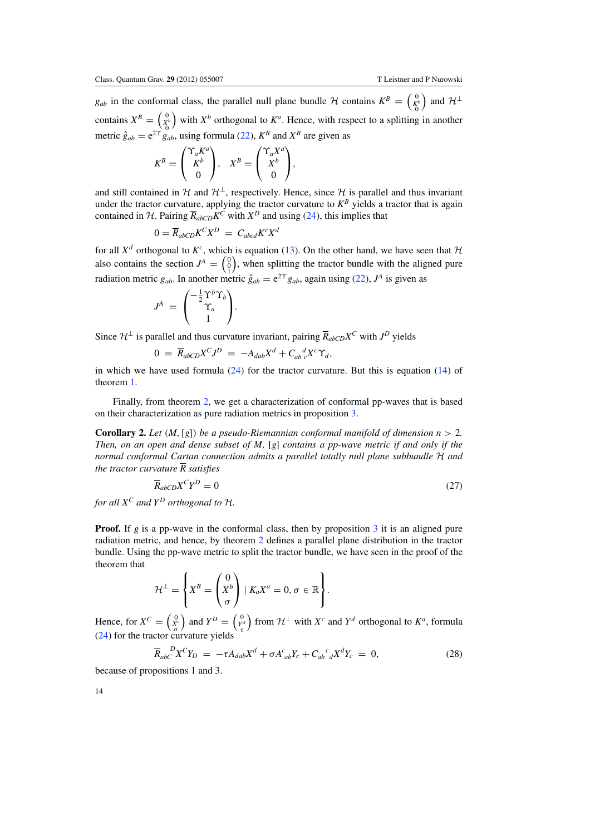*g<sub>ab</sub>* in the conformal class, the parallel null plane bundle  $H$  contains  $K^B = \begin{pmatrix} 0 & 0 \\ K^b & 0 \end{pmatrix}$ ) and  $\mathcal{H}^{\perp}$ contains  $X^B = \begin{pmatrix} 0 \\ X_0^b \end{pmatrix}$  with  $X^b$  orthogonal to  $K^a$ . Hence, with respect to a splitting in another metric  $\hat{g}_{ab} = e^{2Y} \hat{g}_{ab}^0$ , using formula [\(22\)](#page-9-0),  $K^B$  and  $X^B$  are given as

$$
K^{B} = \begin{pmatrix} \Upsilon_a K^a \\ K^b \\ 0 \end{pmatrix}, \quad X^{B} = \begin{pmatrix} \Upsilon_a X^a \\ X^b \\ 0 \end{pmatrix},
$$

and still contained in H and  $\mathcal{H}^{\perp}$ , respectively. Hence, since H is parallel and thus invariant under the tractor curvature, applying the tractor curvature to  $K^B$  yields a tractor that is again contained in  $H$ . Pairing  $\overline{R}_{abcD}K^C$  with  $X^D$  and using [\(24\)](#page-10-1), this implies that

$$
0 = \overline{R}_{abCD} K^C X^D = C_{abcd} K^c X^d
$$

for all  $X^d$  orthogonal to  $K^c$ , which is equation [\(13\)](#page-4-1). On the other hand, we have seen that  $\mathcal H$ also contains the section  $J^A = \begin{pmatrix} 0 \\ 0 \\ 1 \end{pmatrix}$ ), when splitting the tractor bundle with the aligned pure radiation metric  $g_{ab}$ . In another metric  $\hat{g}_{ab} = e^{2\Upsilon} g_{ab}$ , again using [\(22\)](#page-9-0),  $J^A$  is given as

$$
J^A = \begin{pmatrix} -\frac{1}{2} \Upsilon^b \Upsilon_b \\ \Upsilon_a \\ 1 \end{pmatrix}.
$$

Since  $\mathcal{H}^{\perp}$  is parallel and thus curvature invariant, pairing  $\overline{R}_{abCD}X^C$  with  $J^D$  yields

$$
0 = \overline{R}_{abCD} X^C J^D = -A_{dab} X^d + C_{ab}{}^d_c X^c \Upsilon_d,
$$

in which we have used formula  $(24)$  for the tractor curvature. But this is equation  $(14)$  of theorem [1.](#page-4-0)

<span id="page-14-0"></span>Finally, from theorem [2,](#page-11-0) we get a characterization of conformal pp-waves that is based on their characterization as pure radiation metrics in proposition [3.](#page-6-4)

**Corollary 2.** Let  $(M, [g])$  be a pseudo-Riemannian conformal manifold of dimension  $n > 2$ . *Then, on an open and dense subset of M,* [*g*] *contains a pp-wave metric if and only if the normal conformal Cartan connection admits a parallel totally null plane subbundle* H *and the tractor curvature R satisfies*

$$
\overline{R}_{abCD}X^C Y^D = 0 \tag{27}
$$

*for all*  $X^C$  *and*  $Y^D$  *orthogonal to*  $H$ *.* 

<span id="page-14-1"></span>**Proof.** If *g* is a pp-wave in the conformal class, then by proposition [3](#page-6-4) it is an aligned pure radiation metric, and hence, by theorem [2](#page-11-0) defines a parallel plane distribution in the tractor bundle. Using the pp-wave metric to split the tractor bundle, we have seen in the proof of the theorem that

$$
\mathcal{H}^{\perp} = \left\{ X^{B} = \begin{pmatrix} 0 \\ X^{b} \\ \sigma \end{pmatrix} \mid K_{a} X^{a} = 0, \sigma \in \mathbb{R} \right\}.
$$

Hence, for  $X^C = \begin{pmatrix} 0 \\ X^C \\ \sigma \end{pmatrix}$ and  $Y^D = \begin{pmatrix} 0 \\ Y^d \\ \tau \end{pmatrix}$ from  $\mathcal{H}^{\perp}$  with  $X^c$  and  $Y^d$  orthogonal to  $K^a$ , formula [\(24\)](#page-10-1) for the tractor curvature yields

$$
\overline{R}_{abC}^{D}X^{C}Y_{D} = -\tau A_{dab}X^{d} + \sigma A_{ab}^{c}Y_{c} + C_{ab}^{C}{}_{d}X^{d}Y_{c} = 0, \qquad (28)
$$

because of propositions 1 and 3.